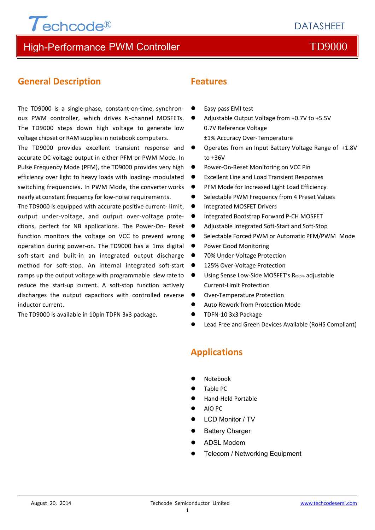## **DATASHEFT**

## High-Performance PWM Controller TD9000

## **General Description**

The TD9000 is a single-phase, constant-on-time, synchron- ● ous PWM controller, which drives N‐channel MOSFETs. The TD9000 steps down high voltage to generate low voltage chipset or RAM supplies in notebook computers.

The TD9000 provides excellent transient response and accurate DC voltage output in either PFM or PWM Mode. In Pulse Frequency Mode (PFM), the TD9000 provides very high efficiency over light to heavy loads with loading‐ modulated switching frequencies. In PWM Mode, the converter works nearly at constant frequency for low‐noise requirements.

The TD9000 is equipped with accurate positive current-limit. output under‐voltage, and output over‐voltage prote‐ ctions, perfect for NB applications. The Power‐On‐ Reset function monitors the voltage on VCC to prevent wrong operation during power‐on. The TD9000 has a 1ms digital soft-start and built-in an integrated output discharge method for soft‐stop. An internal integrated soft‐start ramps up the output voltage with programmable slew rate to reduce the start‐up current. A soft‐stop function actively discharges the output capacitors with controlled reverse inductor current.

The TD9000 is available in 10pin TDFN 3x3 package.

## **Features**

- Easy pass EMI test
- Adjustable Output Voltage from +0.7V to +5.5V 0.7V Reference Voltage ±1% Accuracy Over‐Temperature
- Operates from an Input Battery Voltage Range of +1.8V to +36V
- Power-On-Reset Monitoring on VCC Pin
- Excellent Line and Load Transient Responses
- PFM Mode for Increased Light Load Efficiency
- Selectable PWM Frequency from 4 Preset Values
- **•** Integrated MOSFET Drivers
- Integrated Bootstrap Forward P-CH MOSFET
- Adjustable Integrated Soft‐Start and Soft‐Stop
- Selectable Forced PWM or Automatic PFM/PWM Mode
- Power Good Monitoring
- 70% Under-Voltage Protection
- 125% Over‐Voltage Protection
- Using Sense Low-Side MOSFET's R<sub>DS(ON)</sub> adjustable Current‐Limit Protection
- Over-Temperature Protection
- Auto Rework from Protection Mode
- TDFN‐10 3x3 Package
- Lead Free and Green Devices Available (RoHS Compliant)

## **Applications**

- Notebook
- Table PC
- Hand‐Held Portable
- AIO PC
- LCD Monitor / TV
- Battery Charger
- ADSL Modem
- Telecom / Networking Equipment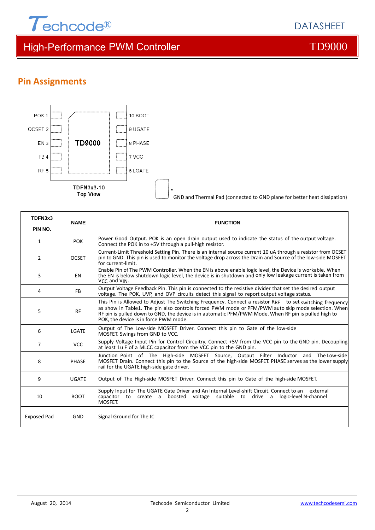

DATASHEET

## **Pin Assignments**



| TDFN3x3<br><b>NAME</b> |              | <b>FUNCTION</b>                                                                                                                                                                                                                                                                                                                                                 |  |  |  |
|------------------------|--------------|-----------------------------------------------------------------------------------------------------------------------------------------------------------------------------------------------------------------------------------------------------------------------------------------------------------------------------------------------------------------|--|--|--|
| PIN NO.                |              |                                                                                                                                                                                                                                                                                                                                                                 |  |  |  |
| 1                      | <b>POK</b>   | Power Good Output. POK is an open drain output used to indicate the status of the output voltage.<br>Connect the POK in to +5V through a pull-high resistor.                                                                                                                                                                                                    |  |  |  |
| $\overline{2}$         | <b>OCSET</b> | Current-Limit Threshold Setting Pin. There is an internal source current 10 uA through a resistor from OCSET<br>pin to GND. This pin is used to monitor the voltage drop across the Drain and Source of the low-side MOSFET<br>for current-limit.                                                                                                               |  |  |  |
| 3                      | EN           | Enable Pin of The PWM Controller. When the EN is above enable logic level, the Device is workable. When<br>the EN is below shutdown logic level, the device is in shutdown and only low leakage current is taken from<br>VCC and VIN.                                                                                                                           |  |  |  |
| 4                      | <b>FB</b>    | Output Voltage Feedback Pin. This pin is connected to the resistive divider that set the desired output<br>voltage. The POK, UVP, and OVP circuits detect this signal to report output voltage status.                                                                                                                                                          |  |  |  |
| 5                      | <b>RF</b>    | This Pin is Allowed to Adjust The Switching Frequency. Connect a resistor RRF to set switching frequency<br>as show in Table1. The pin also controls forced PWM mode or PFM/PWM auto skip mode selection. When<br>RF pin is pulled down to GND, the device is in automatic PFM/PWM Mode. When RF pin is pulled high to<br>POK, the device is in force PWM mode. |  |  |  |
| 6                      | LGATE        | Output of The Low-side MOSFET Driver. Connect this pin to Gate of the low-side<br>MOSFET. Swings from GND to VCC.                                                                                                                                                                                                                                               |  |  |  |
| 7                      | <b>VCC</b>   | Supply Voltage Input Pin for Control Circuitry. Connect +5V from the VCC pin to the GND pin. Decoupling<br>at least 1u F of a MLCC capacitor from the VCC pin to the GND pin.                                                                                                                                                                                   |  |  |  |
| 8                      | <b>PHASE</b> | Junction Point of The High-side MOSFET Source, Output Filter Inductor and The Low-side<br>MOSFET Drain. Connect this pin to the Source of the high-side MOSFET. PHASE serves as the lower supply<br>rail for the UGATE high-side gate driver.                                                                                                                   |  |  |  |
| 9                      | <b>UGATE</b> | Output of The High-side MOSFET Driver. Connect this pin to Gate of the high-side MOSFET.                                                                                                                                                                                                                                                                        |  |  |  |
| 10                     | <b>BOOT</b>  | Supply Input for The UGATE Gate Driver and An Internal Level-shift Circuit. Connect to an<br>external<br>capacitor to create a boosted voltage suitable to drive a<br>logic-level N-channel<br>MOSFET.                                                                                                                                                          |  |  |  |
| Exposed Pad            | <b>GND</b>   | Signal Ground for The IC                                                                                                                                                                                                                                                                                                                                        |  |  |  |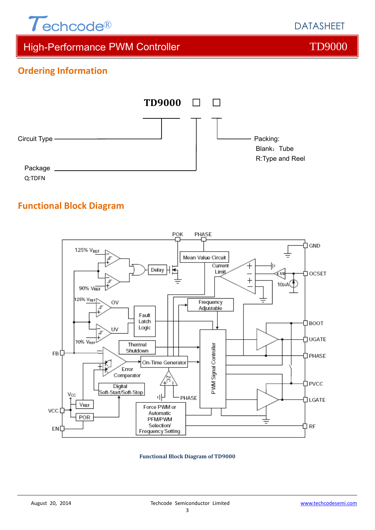

DATASHEET

## High-Performance PWM Controller TD9000

## **Ordering Information**



## **Functional Block Diagram**



### **Functional Block Diagram of TD9000**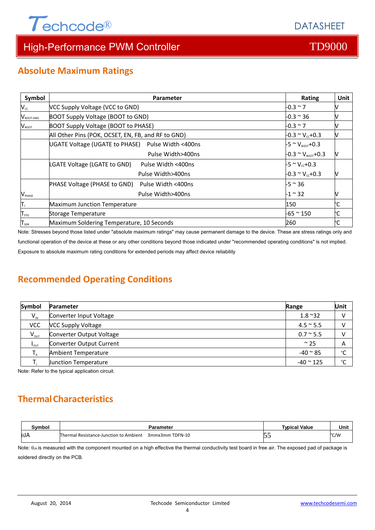

## **Absolute Maximum Ratings**

| Symbol                           | Parameter                                                 | Rating                            | Unit |
|----------------------------------|-----------------------------------------------------------|-----------------------------------|------|
| $V_{cc}$                         | VCC Supply Voltage (VCC to GND)                           | $-0.3 \sim 7$                     |      |
| $\mathsf{V}_{\texttt{foot-end}}$ | BOOT Supply Voltage (BOOT to GND)                         | $-0.3 \approx 36$                 |      |
| $V_{\text{boot}}$                | <b>BOOT Supply Voltage (BOOT to PHASE)</b>                | $-0.3 \sim 7$                     |      |
|                                  | All Other Pins (POK, OCSET, EN, FB, and RF to GND)        | $-0.3 \sim V_{cc} + 0.3$          |      |
|                                  | UGATE Voltage (UGATE to PHASE) Pulse Width <400ns         | $-5 \sim V_{\text{foot}} + 0.3$   |      |
|                                  | Pulse Width>400ns                                         | $-0.3 \sim V_{\text{foot}} + 0.3$ |      |
|                                  | LGATE Voltage (LGATE to GND)<br>Pulse Width <400ns        | $-5 \approx V_{cc} + 0.3$         |      |
|                                  | Pulse Width>400ns                                         | $-0.3 \sim V_{cc} + 0.3$          |      |
|                                  | <b>PHASE Voltage (PHASE to GND)</b><br>Pulse Width <400ns | $-5$ ~ 36                         |      |
| $\mathsf{V}_{\texttt{PHASE}}$    | Pulse Width>400ns                                         | $-1$ ~ 32                         |      |
| π,                               | Maximum Junction Temperature                              | °C<br>150                         |      |
| ${\mathsf T}_{\text{stg}}$       | Storage Temperature                                       | -65 ~ 150<br>°С                   |      |
| $T_{\scriptscriptstyle SDR}$     | Maximum Soldering Temperature, 10 Seconds                 | 260                               |      |

Note: Stresses beyond those listed under "absolute maximum ratings" may cause permanent damage to the device. These are stress ratings only and

functional operation of the device at these or any other conditions beyond those indicated under "recommended operating conditions" is not implied.

Exposure to absolute maximum rating conditions for extended periods may affect device reliability

## **Recommended Operating Conditions**

| Symbol           | <b>Parameter</b><br>Range   |                         | Unit   |
|------------------|-----------------------------|-------------------------|--------|
| $V_{\text{IN}}$  | Converter Input Voltage     | $1.8 \text{ }^{\sim}32$ |        |
| <b>VCC</b>       | <b>VCC Supply Voltage</b>   | $4.5 \approx 5.5$       |        |
| $V_{\text{out}}$ | Converter Output Voltage    | $0.7 \times 5.5$        |        |
| $I_{OUT}$        | Converter Output Current    | $\approx$ 25            | Α      |
|                  | Ambient Temperature         | $-40 \approx 85$        | $\sim$ |
|                  | <b>Junction Temperature</b> | $-40$ $^{\circ}$ 125    | $\sim$ |

Note: Refer to the typical application circuit.

## **ThermalCharacteristics**

| Svmbol      | Parameter                                                        | <b>Typical Value</b> | Unit |
|-------------|------------------------------------------------------------------|----------------------|------|
| $\theta$ JA | 3mmx3mm TDFN-10<br><b>Thermal Resistance-Junction to Ambient</b> |                      | °C/W |

Note:  $\theta_{JA}$  is measured with the component mounted on a high effective the thermal conductivity test board in free air. The exposed pad of package is soldered directly on the PCB.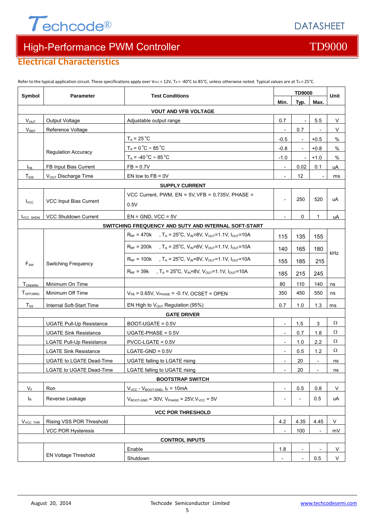

## **Electrical Characteristics**

| Symbol            | <b>Parameter</b>                | <b>Test Conditions</b>                                                                                                   | <b>TD9000</b>            |                   |                          | <b>Unit</b> |  |
|-------------------|---------------------------------|--------------------------------------------------------------------------------------------------------------------------|--------------------------|-------------------|--------------------------|-------------|--|
|                   |                                 |                                                                                                                          | Min.                     | Typ.              | Max.                     |             |  |
|                   |                                 | <b>VOUT AND VFB VOLTAGE</b>                                                                                              |                          |                   |                          |             |  |
| $V_{OUT}$         | Output Voltage                  | Adjustable output range                                                                                                  | 0.7                      |                   | 5.5                      | V           |  |
| $V_{REF}$         | Reference Voltage               |                                                                                                                          |                          | 0.7               |                          | V           |  |
|                   |                                 | $T_A = 25^{\circ}C$                                                                                                      | $-0.5$                   |                   | $+0.5$                   | %           |  |
|                   | <b>Regulation Accuracy</b>      | $T_A = 0 °C \sim 85 °C$                                                                                                  | $-0.8$                   |                   | $+0.8$                   | %           |  |
|                   |                                 | $T_A = -40 °C \approx 85 °C$                                                                                             | $-1.0$                   |                   | $+1.0$                   | %           |  |
| $I_{FB}$          | FB Input Bias Current           | $FB = 0.7V$                                                                                                              | $\overline{\phantom{a}}$ | 0.02              | 0.1                      | uA          |  |
| T <sub>DIS</sub>  | V <sub>OUT</sub> Discharge Time | EN low to $FB = 0V$                                                                                                      |                          | $12 \overline{ }$ |                          | ms          |  |
|                   |                                 | <b>SUPPLY CURRENT</b>                                                                                                    |                          |                   |                          |             |  |
|                   |                                 | VCC Current, PWM, EN = 5V, VFB = 0.735V, PHASE =                                                                         |                          |                   |                          |             |  |
| $I_{VCC}$         | VCC Input Bias Current          | 0.5V                                                                                                                     |                          | 250               | 520                      | uA          |  |
| <b>I</b> VCC SHDN | <b>VCC Shutdown Current</b>     | $EN = GND$ . VCC = 5V                                                                                                    |                          | 0                 | 1                        | uA          |  |
|                   |                                 | SWITCHING FREQUENCY AND SUTY AND INTERNAL SOFT-START                                                                     |                          |                   |                          |             |  |
|                   |                                 | $R_{RF}$ = 470k , T <sub>A</sub> = 25 <sup>o</sup> C, V <sub>IN</sub> =8V, V <sub>OUT</sub> =1.1V, I <sub>OUT</sub> =10A | 115                      | 135               | 155                      |             |  |
|                   |                                 | $R_{RF}$ = 200k , T <sub>A</sub> = 25 <sup>o</sup> C, V <sub>IN</sub> =8V, V <sub>OUT</sub> =1.1V, I <sub>OUT</sub> =10A | 140                      | 165               | 180                      | kHz         |  |
| $F_{SW}$          | <b>Switching Frequency</b>      | $R_{RF}$ = 100k , T <sub>A</sub> = 25 <sup>o</sup> C, V <sub>IN</sub> =8V, V <sub>OUT</sub> =1.1V, I <sub>OUT</sub> =10A | 155                      | 185               | 215                      |             |  |
|                   |                                 | $R_{RF}$ = 39k , T <sub>A</sub> = 25 <sup>o</sup> C, V <sub>IN</sub> =8V, V <sub>OUT</sub> =1.1V, I <sub>OUT</sub> =10A  | 185                      | 215               | 245                      |             |  |
| $T_{ON(MIN)}$     | Minimum On Time                 |                                                                                                                          | 80                       | 110               | 140                      | ns          |  |
| TOFF(MIN)         | Minimum Off Time                | $V_{FB}$ = 0.65V, $V_{PHASE}$ = -0.1V, OCSET = OPEN                                                                      | 350                      | 450               | 550                      | ns          |  |
| $T_{SS}$          | Internal Soft-Start Time        | EN High to $V_{OUT}$ Regulation (95%)                                                                                    | 0.7                      | 1.0               | 1.3                      | ms          |  |
|                   |                                 | <b>GATE DRIVER</b>                                                                                                       |                          |                   |                          |             |  |
|                   | <b>UGATE Pull-Up Resistance</b> | BOOT-UGATE = 0.5V                                                                                                        | $\overline{\phantom{a}}$ | 1.5               | $\mathbf{3}$             | Ω           |  |
|                   | <b>UGATE Sink Resistance</b>    | UGATE-PHASE = $0.5V$                                                                                                     | $\overline{\phantom{a}}$ | 0.7               | 1.8                      | Ω           |  |
|                   | <b>LGATE Pull-Up Resistance</b> | $PVCC$ -LGATE = $0.5V$                                                                                                   | $\overline{\phantom{a}}$ | 1.0               | 2.2                      | Ω           |  |
|                   | <b>LGATE Sink Resistance</b>    | $LGATE-GND = 0.5V$                                                                                                       | $\overline{\phantom{a}}$ | 0.5               | 1.2                      | Ω           |  |
|                   | UGATE to LGATE Dead-Time        | UGATE falling to LGATE rising                                                                                            | $\overline{\phantom{a}}$ | 20                | $\overline{\phantom{a}}$ | ns          |  |
|                   | <b>LGATE to UGATE Dead-Time</b> | <b>LGATE falling to UGATE rising</b>                                                                                     |                          | 20                |                          | <u>ns</u>   |  |
|                   |                                 | <b>BOOTSTRAP SWITCH</b>                                                                                                  |                          |                   |                          |             |  |
| $V_F$             | Ron                             | $V_{VCC}$ - $V_{BOOT-GND}$ , $I_F = 10mA$                                                                                | $\overline{\phantom{a}}$ | 0.5               | 0.8                      | V           |  |
| I <sub>R</sub>    | Reverse Leakage                 | $V_{\text{BOOT-GND}}$ = 30V, $V_{\text{PHASE}}$ = 25V, $V_{\text{VCC}}$ = 5V                                             |                          |                   | 0.5                      | uA          |  |
|                   | <b>VCC POR THRESHOLD</b>        |                                                                                                                          |                          |                   |                          |             |  |
| $V_{VCC}$ thr     | Rising VSS POR Threshold        |                                                                                                                          | 4.2                      | 4.35              | 4.45                     | V           |  |
|                   | <b>VCC POR Hysteresis</b>       |                                                                                                                          |                          | 100               |                          | mV          |  |
|                   |                                 | <b>CONTROL INPUTS</b>                                                                                                    |                          |                   |                          |             |  |
|                   |                                 | Enable                                                                                                                   | 1.8                      |                   |                          | V           |  |
|                   | EN Voltage Threshold            | Shutdown                                                                                                                 |                          |                   | 0.5                      | V           |  |

Refer to the typical application circuit. These specifications apply over Vvcc = 12V, TA = -40°C to 85°C, unless otherwise noted. Typical values are at TA = 25°C.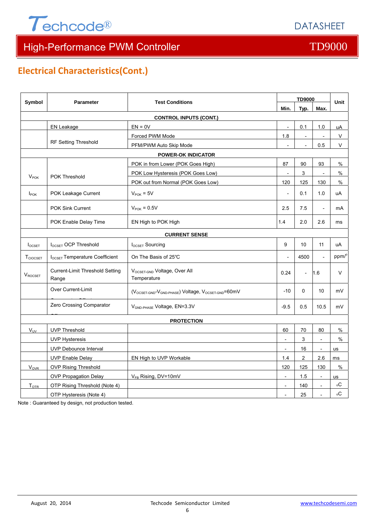



## **Electrical Characteristics(Cont.)**

| <b>Symbol</b>          | <b>Parameter</b>                         | <b>Test Conditions</b>                           |                          | <b>TD9000</b>            |                          |               |
|------------------------|------------------------------------------|--------------------------------------------------|--------------------------|--------------------------|--------------------------|---------------|
|                        |                                          |                                                  | Min.                     | Typ.                     | Max.                     | <b>Unit</b>   |
|                        |                                          | <b>CONTROL INPUTS (CONT.)</b>                    |                          |                          |                          |               |
|                        | EN Leakage                               | $EN = 0V$                                        | $\overline{\phantom{a}}$ | 0.1                      | 1.0                      | uA            |
|                        |                                          | Forced PWM Mode                                  | 1.8                      | $\overline{\phantom{a}}$ |                          | $\mathsf{V}$  |
|                        | RF Setting Threshold                     | PFM/PWM Auto Skip Mode                           |                          | $\overline{a}$           | 0.5                      | V             |
|                        |                                          | <b>POWER-OK INDICATOR</b>                        |                          |                          |                          |               |
|                        |                                          | POK in from Lower (POK Goes High)                | 87                       | 90                       | 93                       | %             |
| $V_{\text{POK}}$       | POK Threshold                            | POK Low Hysteresis (POK Goes Low)                |                          | 3                        |                          | $\frac{0}{0}$ |
|                        |                                          | POK out from Normal (POK Goes Low)               | 120                      | 125                      | 130                      | $\%$          |
| $I_{\text{POK}}$       | POK Leakage Current                      | $V_{\text{POK}}$ = 5V                            |                          | 0.1                      | 1.0                      | uA            |
|                        | <b>POK Sink Current</b>                  | $V_{\text{POK}} = 0.5V$                          | 2.5                      | 7.5                      | $\overline{\phantom{a}}$ | mA            |
|                        | POK Enable Delay Time                    | EN High to POK High                              | 1.4                      | 2.0                      | 2.6                      | ms            |
|                        |                                          | <b>CURRENT SENSE</b>                             |                          |                          |                          |               |
| $I_{OCSET}$            | I <sub>OCSET</sub> OCP Threshold         | <b>IOCSET Sourcing</b>                           | 9                        | 10                       | 11                       | uA            |
| TCIOCSET               | $I_{OCSFT}$ Temperature Coefficient      | On The Basis of 25°C                             |                          | 4500                     | $\overline{\phantom{a}}$ | ppm/°         |
| $V_{ROCSET}$           | Current-Limit Threshold Setting<br>Range | VOCSET-GND Voltage, Over All<br>Temperature      | 0.24                     | $\overline{\phantom{a}}$ | 1.6                      | $\vee$        |
|                        | Over Current-Limit                       | (VOCSET-GND-VGND-PHASE) Voltage, VOCSET-GND=60mV | $-10$                    | 0                        | 10                       | mV            |
|                        | Zero Crossing Comparator                 | V <sub>GND-PHASE</sub> Voltage, EN=3.3V          | $-9.5$                   | 0.5                      | 10.5                     | mV            |
|                        |                                          | <b>PROTECTION</b>                                |                          |                          |                          |               |
| $V_{UV}$               | <b>UVP Threshold</b>                     |                                                  | 60                       | 70                       | 80                       | %             |
|                        | <b>UVP Hysteresis</b>                    |                                                  | $\overline{a}$           | 3                        | $\overline{\phantom{a}}$ | $\%$          |
|                        | UVP Debounce Interval                    |                                                  | $\overline{\phantom{a}}$ | 16                       | $\overline{\phantom{a}}$ | us            |
|                        | <b>UVP Enable Delay</b>                  | EN High to UVP Workable                          | 1.4                      | $\overline{c}$           | 2.6                      | ms            |
| <b>V<sub>OVR</sub></b> | <b>OVP Rising Threshold</b>              |                                                  | 120                      | 125                      | 130                      | %             |
|                        | <b>OVP Propagation Delay</b>             | V <sub>FB</sub> Rising, DV=10mV                  | $\overline{\phantom{a}}$ | 1.5                      | $\overline{\phantom{a}}$ | us            |
| T <sub>OTR</sub>       | OTP Rising Threshold (Note 4)            |                                                  | $\overline{\phantom{a}}$ | 140                      | $\overline{\phantom{a}}$ | оC            |
|                        | OTP Hysteresis (Note 4)                  |                                                  | $\overline{a}$           | 25                       | $\overline{a}$           | оC            |

Note : Guaranteed by design, not production tested.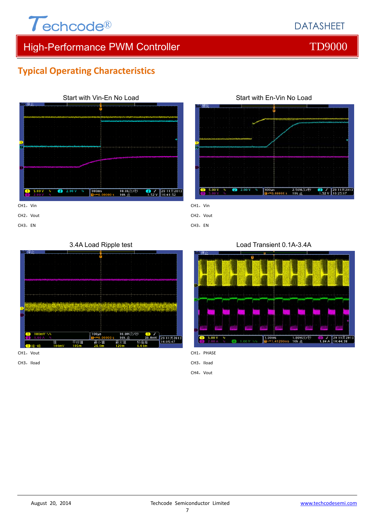# $\tau$ echcode®

## DATASHEET

## High-Performance PWM Controller TD9000

## **Typical Operating Characteristics**



Start with En-Vin No Load 2.50M次/秒<br>10k 点  $5.00<sup>°</sup>$  $\sum_{1.52 \text{ V}}$   $\begin{bmatrix} 29 & 11 & \frac{1}{2} & 201 \\ 16 & 25 & 17 \end{bmatrix}$ 

 $CH1.$  Vin

CH2, Vout

CH3, EN

## 3.4A Load Ripple test



CH1, Vout

CH3, EN

CH3, Iload

Load Transient 0.1A-3.4A



CH1, PHASE

CH3, Iload

CH4, Vout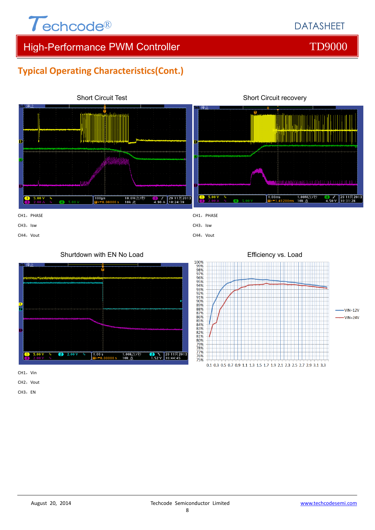

## **Typical Operating Characteristics(Cont.)**









CH1, Vin

CH<sub>2</sub>, Vout

CH3, EN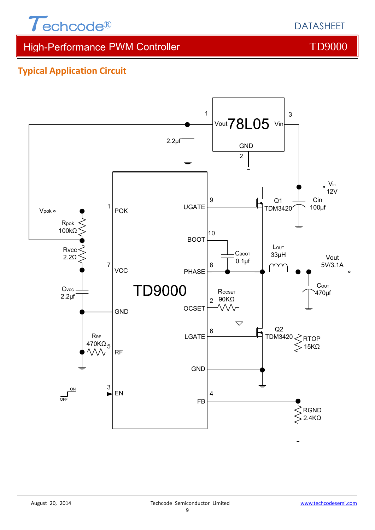

DATASHEET

High-Performance PWM Controller TD9000

## **Typical Application Circuit**

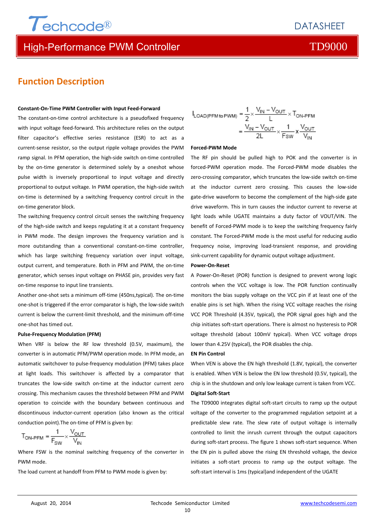

## High-Performance PWM Controller TO9000 Number of TD9000

## **Function Description**

### **Constant‐On‐Time PWM Controller with Input Feed‐Forward**

The constant-on-time control architecture is a pseudofixed frequency with input voltage feed-forward. This architecture relies on the output filter capacitor's effective series resistance (ESR) to act as a current‐sense resistor, so the output ripple voltage provides the PWM ramp signal. In PFM operation, the high‐side switch on‐time controlled by the on-time generator is determined solely by a oneshot whose pulse width is inversely proportional to input voltage and directly proportional to output voltage. In PWM operation, the high-side switch on-time is determined by a switching frequency control circuit in the on‐time generator block.

The switching frequency control circuit senses the switching frequency of the high‐side switch and keeps regulating it at a constant frequency in PWM mode. The design improves the frequency variation and is more outstanding than a conventional constant-on-time controller, which has large switching frequency variation over input voltage, output current, and temperature. Both in PFM and PWM, the on‐time generator, which senses input voltage on PHASE pin, provides very fast on‐time response to input line transients.

Another one‐shot sets a minimum off‐time (450ns,typical). The on‐time one‐shot is triggered if the error comparator is high, the low‐side switch current is below the current‐limit threshold, and the minimum off‐time one‐shot has timed out.

### **Pulse‐Frequency Modulation (PFM)**

When VRF is below the RF low threshold (0.5V, maximum), the converter is in automatic PFM/PWM operation mode. In PFM mode, an automatic switchover to pulse‐frequency modulation (PFM) takes place at light loads. This switchover is affected by a comparator that truncates the low‐side switch on‐time at the inductor current zero crossing. This mechanism causes the threshold between PFM and PWM operation to coincide with the boundary between continuous and discontinuous inductor‐current operation (also known as the critical conduction point).The on‐time of PFM is given by:

$$
T_{\text{ON-PFM}} = \frac{1}{F_{\text{SW}}} \times \frac{V_{\text{OUT}}}{V_{\text{IN}}}
$$

Where FSW is the nominal switching frequency of the converter in PWM mode.

The load current at handoff from PFM to PWM mode is given by:

$$
I_{\text{LOAD(PFM to PWM)}} = \frac{1}{2} \times \frac{V_{\text{IN}} - V_{\text{OUT}}}{L} \times T_{\text{ON-PFM}}
$$

$$
= \frac{V_{\text{IN}} - V_{\text{OUT}}}{2L} \times \frac{1}{F_{\text{SW}}} \times \frac{V_{\text{OUT}}}{V_{\text{IN}}}
$$

### **Forced‐PWM Mode**

The RF pin should be pulled high to POK and the converter is in forced‐PWM operation mode. The Forced‐PWM mode disables the zero-crossing comparator, which truncates the low-side switch on-time at the inductor current zero crossing. This causes the low-side gate‐drive waveform to become the complement of the high‐side gate drive waveform. This in turn causes the inductor current to reverse at light loads while UGATE maintains a duty factor of VOUT/VIN. The benefit of Forced‐PWM mode is to keep the switching frequency fairly constant. The Forced‐PWM mode is the most useful for reducing audio frequency noise, improving load‐transient response, and providing sink-current capability for dynamic output voltage adjustment.

### **Power‐On‐Reset**

A Power‐On‐Reset (POR) function is designed to prevent wrong logic controls when the VCC voltage is low. The POR function continually monitors the bias supply voltage on the VCC pin if at least one of the enable pins is set high. When the rising VCC voltage reaches the rising VCC POR Threshold (4.35V, typical), the POR signal goes high and the chip initiates soft‐start operations. There is almost no hysteresis to POR voltage threshold (about 100mV typical). When VCC voltage drops lower than 4.25V (typical), the POR disables the chip.

### **EN Pin Control**

When VEN is above the EN high threshold (1.8V, typical), the converter is enabled. When VEN is below the EN low threshold (0.5V, typical), the chip is in the shutdown and only low leakage current is taken from VCC.

### **Digital Soft‐Start**

The TD9000 integrates digital soft‐start circuits to ramp up the output voltage of the converter to the programmed regulation setpoint at a predictable slew rate. The slew rate of output voltage is internally controlled to limit the inrush current through the output capacitors during soft-start process. The figure 1 shows soft-start sequence. When the EN pin is pulled above the rising EN threshold voltage, the device initiates a soft‐start process to ramp up the output voltage. The soft-start interval is 1ms (typical)and independent of the UGATE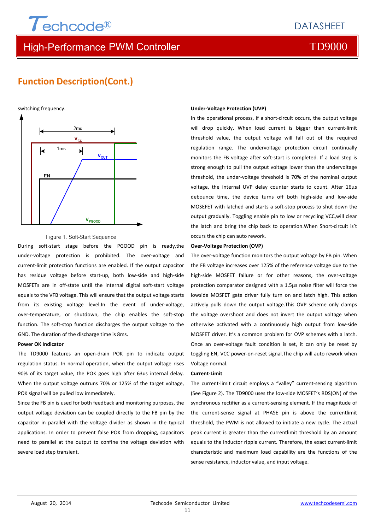High-Performance PWM Controller TD9000

## **Function Description(Cont.)**

switching frequency.



### Figure 1. Soft-Start Sequence

During soft‐start stage before the PGOOD pin is ready,the under‐voltage protection is prohibited. The over‐voltage and current‐limit protection functions are enabled. If the output capacitor has residue voltage before start‐up, both low‐side and high‐side MOSFETs are in off‐state until the internal digital soft‐start voltage equals to the VFB voltage. This will ensure that the output voltage starts from its existing voltage level.In the event of under-voltage, over-temperature, or shutdown, the chip enables the soft-stop function. The soft‐stop function discharges the output voltage to the GND. The duration of the discharge time is 8ms.

### **Power OK Indicator**

The TD9000 features an open‐drain POK pin to indicate output regulation status. In normal operation, when the output voltage rises 90% of its target value, the POK goes high after 63us internal delay. When the output voltage outruns 70% or 125% of the target voltage, POK signal will be pulled low immediately.

Since the FB pin is used for both feedback and monitoring purposes, the output voltage deviation can be coupled directly to the FB pin by the capacitor in parallel with the voltage divider as shown in the typical applications. In order to prevent false POK from dropping, capacitors need to parallel at the output to confine the voltage deviation with severe load step transient.

### **Under‐Voltage Protection (UVP)**

In the operational process, if a short‐circuit occurs, the output voltage will drop quickly. When load current is bigger than current-limit threshold value, the output voltage will fall out of the required regulation range. The undervoltage protection circuit continually monitors the FB voltage after soft‐start is completed. If a load step is strong enough to pull the output voltage lower than the undervoltage threshold, the under‐voltage threshold is 70% of the nominal output voltage, the internal UVP delay counter starts to count. After 16us debounce time, the device turns off both high‐side and low‐side MOSEFET with latched and starts a soft‐stop process to shut down the output gradually. Toggling enable pin to low or recycling VCC,will clear the latch and bring the chip back to operation.When Short‐circuit is't occurs the chip can auto rework.

### **Over‐Voltage Protection (OVP)**

The over-voltage function monitors the output voltage by FB pin. When the FB voltage increases over 125% of the reference voltage due to the high-side MOSFET failure or for other reasons, the over-voltage protection comparator designed with a 1.5µs noise filter will force the lowside MOSFET gate driver fully turn on and latch high. This action actively pulls down the output voltage.This OVP scheme only clamps the voltage overshoot and does not invert the output voltage when otherwise activated with a continuously high output from low‐side MOSFET driver. It's a common problem for OVP schemes with a latch. Once an over‐voltage fault condition is set, it can only be reset by toggling EN, VCC power‐on‐reset signal.The chip will auto rework when Voltage normal.

### **Current‐Limit**

The current‐limit circuit employs a "valley" current‐sensing algorithm (See Figure 2). The TD9000 uses the low‐side MOSFET's RDS(ON) of the synchronous rectifier as a current‐sensing element. If the magnitude of the current‐sense signal at PHASE pin is above the currentlimit threshold, the PWM is not allowed to initiate a new cycle. The actual peak current is greater than the currentlimit threshold by an amount equals to the inductor ripple current. Therefore, the exact current‐limit characteristic and maximum load capability are the functions of the sense resistance, inductor value, and input voltage.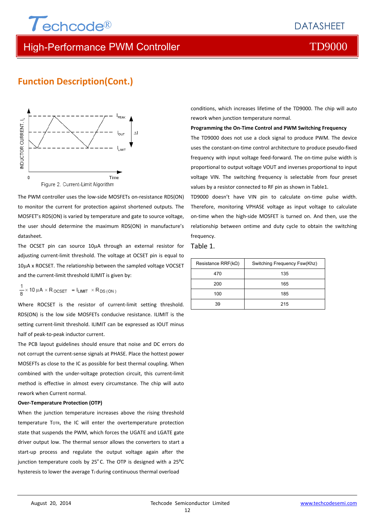## High-Performance PWM Controller TD9000

## **Function Description(Cont.)**



The PWM controller uses the low‐side MOSFETs on‐resistance RDS(ON) to monitor the current for protection against shortened outputs. The MOSFET's RDS(ON) is varied by temperature and gate to source voltage, the user should determine the maximum RDS(ON) in manufacture's datasheet.

The OCSET pin can source 10µA through an external resistor for adjusting current‐limit threshold. The voltage at OCSET pin is equal to 10µA x ROCSET. The relationship between the sampled voltage VOCSET and the current‐limit threshold ILIMIT is given by:

$$
\frac{1}{8} \times 10 \mu A \times R_{OCSET} = I_{LIMIT} \times R_{DS(ON)}
$$

Where ROCSET is the resistor of current-limit setting threshold. RDS(ON) is the low side MOSFETs conducive resistance. ILIMIT is the setting current-limit threshold. ILIMIT can be expressed as IOUT minus half of peak‐to‐peak inductor current.

The PCB layout guidelines should ensure that noise and DC errors do not corrupt the current‐sense signals at PHASE. Place the hottest power MOSEFTs as close to the IC as possible for best thermal coupling. When combined with the under‐voltage protection circuit, this current‐limit method is effective in almost every circumstance. The chip will auto rework when Current normal.

### **Over‐Temperature Protection (OTP)**

When the junction temperature increases above the rising threshold temperature TOTR, the IC will enter the overtemperature protection state that suspends the PWM, which forces the UGATE and LGATE gate driver output low. The thermal sensor allows the converters to start a start-up process and regulate the output voltage again after the junction temperature cools by 25°C. The OTP is designed with a 25°C hysteresis to lower the average TJ during continuous thermal overload

conditions, which increases lifetime of the TD9000. The chip will auto rework when junction temperature normal.

**Programming the On‐Time Control and PWM Switching Frequency**

The TD9000 does not use a clock signal to produce PWM. The device uses the constant‐on‐time control architecture to produce pseudo‐fixed frequency with input voltage feed-forward. The on-time pulse width is proportional to output voltage VOUT and inverses proportional to input voltage VIN. The switching frequency is selectable from four preset values by a resistor connected to RF pin as shown in Table1.

TD9000 doesn't have VIN pin to calculate on-time pulse width. Therefore, monitoring VPHASE voltage as input voltage to calculate on‐time when the high‐side MOSFET is turned on. And then, use the relationship between ontime and duty cycle to obtain the switching frequency.

### Table 1.

| Resistance RRF( $k\Omega$ ) | Switching Frequency Fsw(Khz) |
|-----------------------------|------------------------------|
| 470                         | 135                          |
| 200                         | 165                          |
| 100                         | 185                          |
| 39                          | 215                          |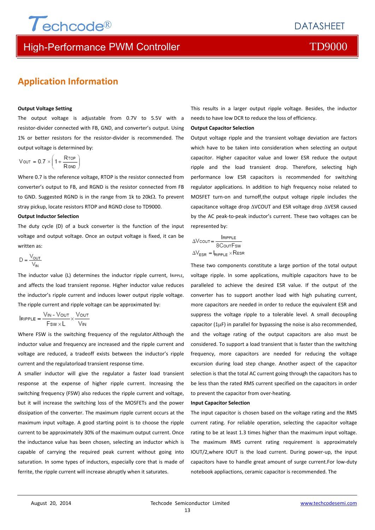## High-Performance PWM Controller TD9000

## **Application Information**

### **Output Voltage Setting**

The output voltage is adjustable from 0.7V to 5.5V with a resistor‐divider connected with FB, GND, and converter's output. Using 1% or better resistors for the resistor-divider is recommended. The output voltage is determined by:

$$
V \text{out} = 0.7 \times \left(1 + \frac{R \text{top}}{R \text{sub}}\right)
$$

Where 0.7 is the reference voltage, RTOP is the resistor connected from converter's output to FB, and RGND is the resistor connected from FB to GND. Suggested RGND is in the range from 1k to 20 $k\Omega$ . To prevent stray pickup, locate resistors RTOP and RGND close to TD9000.

### **Output Inductor Selection**

The duty cycle (D) of a buck converter is the function of the input voltage and output voltage. Once an output voltage is fixed, it can be written as:

$$
D = \frac{V_{\text{OUT}}}{V_{\text{IN}}}
$$

The inductor value (L) determines the inductor ripple current, IRIPPLE, and affects the load transient reponse. Higher inductor value reduces the inductor's ripple current and induces lower output ripple voltage. The ripple current and ripple voltage can be approximated by:

$$
In\texttt{IPPLE} = \frac{V_{IN} - V_{OUT}}{F_{SW} \times L} \times \frac{V_{OUT}}{V_{IN}}
$$

Where FSW is the switching frequency of the regulator.Although the inductor value and frequency are increased and the ripple current and voltage are reduced, a tradeoff exists between the inductor's ripple current and the regulatorload transient response time.

A smaller inductor will give the regulator a faster load transient response at the expense of higher ripple current. Increasing the switching frequency (FSW) also reduces the ripple current and voltage, but it will increase the switching loss of the MOSFETs and the power dissipation of the converter. The maximum ripple current occurs at the maximum input voltage. A good starting point is to choose the ripple current to be approximately 30% of the maximum output current. Once the inductance value has been chosen, selecting an inductor which is capable of carrying the required peak current without going into saturation. In some types of inductors, especially core that is made of ferrite, the ripple current will increase abruptly when it saturates.

This results in a larger output ripple voltage. Besides, the inductor needs to have low DCR to reduce the loss of efficiency.

### **Output Capacitor Selection**

Output voltage ripple and the transient voltage deviation are factors which have to be taken into consideration when selecting an output capacitor. Higher capacitor value and lower ESR reduce the output ripple and the load transient drop. Therefore, selecting high performance low ESR capacitors is recommended for switching regulator applications. In addition to high frequency noise related to MOSFET turn‐on and turnoff,the output voltage ripple includes the capacitance voltage drop  $\triangle VCOUT$  and ESR voltage drop  $\triangle VESR$  caused by the AC peak‐to‐peak inductor's current. These two voltages can be represented by:

$$
\Delta \text{Vcout} = \frac{\text{Iripple}}{8 \text{CoutFsw}}
$$
\n
$$
\Delta \text{V}_{\text{ESR}} = I_{\text{Ripple}} \times \text{Res}
$$

These two components constitute a large portion of the total output voltage ripple. In some applications, multiple capacitors have to be paralleled to achieve the desired ESR value. If the output of the converter has to support another load with high pulsating current, more capacitors are needed in order to reduce the equivalent ESR and suppress the voltage ripple to a tolerable level. A small decoupling capacitor ( $1\mu$ F) in parallel for bypassing the noise is also recommended, and the voltage rating of the output capacitors are also must be considered. To support a load transient that is faster than the switching frequency, more capacitors are needed for reducing the voltage excursion during load step change. Another aspect of the capacitor selection is that the total AC current going through the capacitors has to be less than the rated RMS current specified on the capacitors in order to prevent the capacitor from over-heating.

### **Input Capacitor Selection**

The input capacitor is chosen based on the voltage rating and the RMS current rating. For reliable operation, selecting the capacitor voltage rating to be at least 1.3 times higher than the maximum input voltage. The maximum RMS current rating requirement is approximately IOUT/2,where IOUT is the load current. During power‐up, the input capacitors have to handle great amount of surge current.For low‐duty notebook appliactions, ceramic capacitor is recommended. The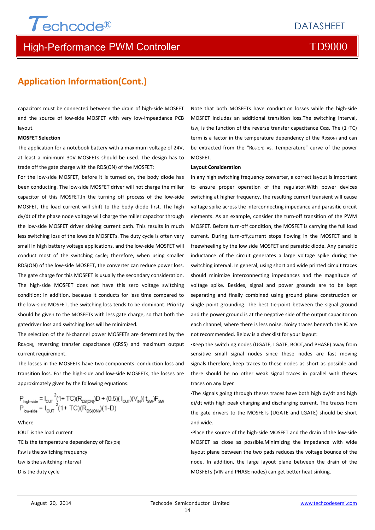## High-Performance PWM Controller TO9000

## **Application Information(Cont.)**

capacitors must be connected between the drain of high‐side MOSFET and the source of low-side MOSFET with very low-impeadance PCB layout.

### **MOSFET Selection**

The application for a notebook battery with a maximum voltage of 24V, at least a minimum 30V MOSFETs should be used. The design has to trade off the gate charge with the RDS(ON) of the MOSFET:

For the low-side MOSFET, before it is turned on, the body diode has been conducting. The low‐side MOSFET driver will not charge the miller capacitor of this MOSFET.In the turning off process of the low‐side MOSFET, the load current will shift to the body diode first. The high dv/dt of the phase node voltage will charge the miller capacitor through the low‐side MOSFET driver sinking current path. This results in much less switching loss of the lowside MOSFETs. The duty cycle is often very small in high battery voltage applications, and the low‐side MOSFET will conduct most of the switching cycle; therefore, when using smaller RDS(ON) of the low-side MOSFET, the converter can reduce power loss. The gate charge for this MOSFET is usually the secondary consideration. The high‐side MOSFET does not have this zero voltage switching condition; in addition, because it conducts for less time compared to the low‐side MOSFET, the switching loss tends to be dominant. Priority should be given to the MOSFETs with less gate charge, so that both the gatedriver loss and switching loss will be minimized.

The selection of the N-channel power MOSFETs are determined by the RDS(ON), reversing transfer capacitance (CRSS) and maximum output current requirement.

The losses in the MOSFETs have two components: conduction loss and transition loss. For the high‐side and low‐side MOSFETs, the losses are approximately given by the following equations:

$$
P_{\text{high-side}} = I_{\text{OUT}}^2 (1 + \text{TC})(R_{\text{DS(ON)}})D + (0.5)(I_{\text{OUT}})(V_{\text{IN}})(t_{\text{SW}})F_{\text{SW}} \\
P_{\text{low-side}} = I_{\text{OUT}}^2 (1 + \text{TC})(R_{\text{DS(ON)}})(1 - D)
$$

Where IOUT is the load current TC is the temperature dependency of RDS(ON) FSW is the switching frequency tsw is the switching interval D is the duty cycle

Note that both MOSFETs have conduction losses while the high‐side MOSFET includes an additional transition loss.The switching interval, tsw, is the function of the reverse transfer capacitance CRSS. The  $(1+TC)$ term is a factor in the temperature dependency of the RDS(ON) and can be extracted from the "RDS(ON) vs. Temperature" curve of the power MOSFET.

### **Layout Consideration**

In any high switching frequency converter, a correct layout is important to ensure proper operation of the regulator.With power devices switching at higher frequency, the resulting current transient will cause voltage spike across the interconnecting impedance and parasitic circuit elements. As an example, consider the turn‐off transition of the PWM MOSFET. Before turn‐off condition, the MOSFET is carrying the full load current. During turn-off,current stops flowing in the MOSFET and is freewheeling by the low side MOSFET and parasitic diode. Any parasitic inductance of the circuit generates a large voltage spike during the switching interval. In general, using short and wide printed circuit traces should minimize interconnecting impedances and the magnitude of voltage spike. Besides, signal and power grounds are to be kept separating and finally combined using ground plane construction or single point grounding. The best tie-point between the signal ground and the power ground is at the negative side of the output capacitor on each channel, where there is less noise. Noisy traces beneath the IC are not recommended. Below is a checklist for your layout:

**∙**Keep the switching nodes (UGATE, LGATE, BOOT,and PHASE) away from sensitive small signal nodes since these nodes are fast moving signals.Therefore, keep traces to these nodes as short as possible and there should be no other weak signal traces in parallel with theses traces on any layer.

**∙**The signals going through theses traces have both high dv/dt and high di/dt with high peak charging and discharging current. The traces from the gate drivers to the MOSFETs (UGATE and LGATE) should be short and wide.

**∙**Place the source of the high‐side MOSFET and the drain of the low‐side MOSFET as close as possible.Minimizing the impedance with wide layout plane between the two pads reduces the voltage bounce of the node. In addition, the large layout plane between the drain of the MOSFETs (VIN and PHASE nodes) can get better heat sinking.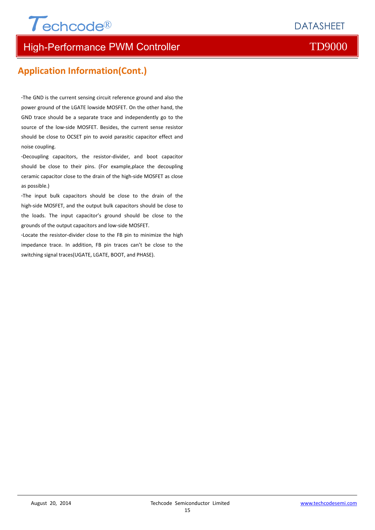# $\tau$ echcode®

## High-Performance PWM Controller TD9000

## **Application Information(Cont.)**

**∙**The GND is the current sensing circuit reference ground and also the power ground of the LGATE lowside MOSFET. On the other hand, the GND trace should be a separate trace and independently go to the source of the low‐side MOSFET. Besides, the current sense resistor should be close to OCSET pin to avoid parasitic capacitor effect and noise coupling.

**∙**Decoupling capacitors, the resistor‐divider, and boot capacitor should be close to their pins. (For example,place the decoupling ceramic capacitor close to the drain of the high‐side MOSFET as close as possible.)

**∙**The input bulk capacitors should be close to the drain of the high‐side MOSFET, and the output bulk capacitors should be close to the loads. The input capacitor's ground should be close to the grounds of the output capacitors and low‐side MOSFET.

**∙**Locate the resistor‐divider close to the FB pin to minimize the high impedance trace. In addition, FB pin traces can't be close to the switching signal traces(UGATE, LGATE, BOOT, and PHASE).

**DATASHEET**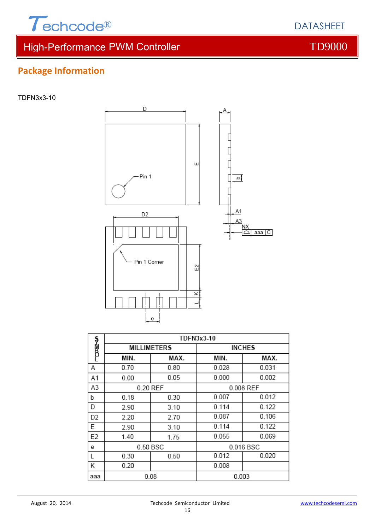

٦

## **Package Information**

TDFN3x3-10



|                | TUFNJXJ-TU |                    |               |           |  |  |
|----------------|------------|--------------------|---------------|-----------|--|--|
| ง<br>B         |            | <b>MILLIMETERS</b> | <b>INCHES</b> |           |  |  |
|                | MIN.       | MAX.               | MIN.          | MAX.      |  |  |
| Α              | 0.70       | 0.80               | 0.028         | 0.031     |  |  |
| A1             | 0.00       | 0.05               | 0.000         | 0.002     |  |  |
| A3             |            | 0.20 REF           |               | 0.008 REF |  |  |
| b              | 0.18       | 0.30               | 0.007         | 0.012     |  |  |
| D              | 2.90       | 3.10               | 0.114         | 0.122     |  |  |
| D <sub>2</sub> | 2.20       | 2.70               | 0.087         | 0.106     |  |  |
| Ε              | 2.90       | 3.10               | 0.114         | 0.122     |  |  |
| E <sub>2</sub> | 1.40       | 1.75               | 0.055         | 0.069     |  |  |
| е              |            | 0.50 BSC           |               | 0.016 BSC |  |  |
| L              | 0.30       | 0.50               | 0.012         | 0.020     |  |  |
| Κ              | 0.20       |                    | 0.008         |           |  |  |
| ааа            |            | 0.08               | 0.003         |           |  |  |